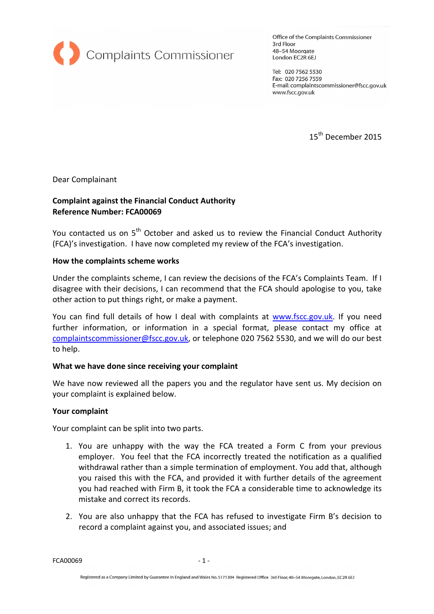

Office of the Complaints Commissioner 3rd Floor 48-54 Moorgate London EC2R 6EJ

Tel: 020 7562 5530 Fax: 020 7256 7559 E-mail: complaintscommissioner@fscc.gov.uk www.fscc.gov.uk

15<sup>th</sup> December 2015

Dear Complainant

# Complaint against the Financial Conduct Authority Reference Number: FCA00069

You contacted us on 5<sup>th</sup> October and asked us to review the Financial Conduct Authority (FCA)'s investigation. I have now completed my review of the FCA's investigation.

### How the complaints scheme works

Under the complaints scheme, I can review the decisions of the FCA's Complaints Team. If I disagree with their decisions, I can recommend that the FCA should apologise to you, take other action to put things right, or make a payment.

You can find full details of how I deal with complaints at www.fscc.gov.uk. If you need further information, or information in a special format, please contact my office at complaintscommissioner@fscc.gov.uk, or telephone 020 7562 5530, and we will do our best to help.

## What we have done since receiving your complaint

We have now reviewed all the papers you and the regulator have sent us. My decision on your complaint is explained below.

#### Your complaint

Your complaint can be split into two parts.

- 1. You are unhappy with the way the FCA treated a Form C from your previous employer. You feel that the FCA incorrectly treated the notification as a qualified withdrawal rather than a simple termination of employment. You add that, although you raised this with the FCA, and provided it with further details of the agreement you had reached with Firm B, it took the FCA a considerable time to acknowledge its mistake and correct its records.
- 2. You are also unhappy that the FCA has refused to investigate Firm B's decision to record a complaint against you, and associated issues; and

FCA00069 - 1 -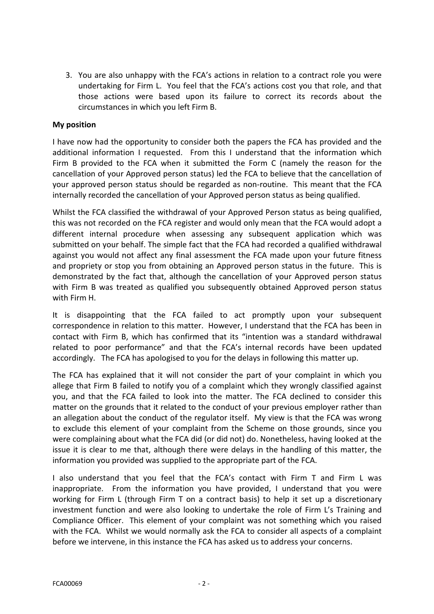3. You are also unhappy with the FCA's actions in relation to a contract role you were undertaking for Firm L. You feel that the FCA's actions cost you that role, and that those actions were based upon its failure to correct its records about the circumstances in which you left Firm B.

## My position

I have now had the opportunity to consider both the papers the FCA has provided and the additional information I requested. From this I understand that the information which Firm B provided to the FCA when it submitted the Form C (namely the reason for the cancellation of your Approved person status) led the FCA to believe that the cancellation of your approved person status should be regarded as non-routine. This meant that the FCA internally recorded the cancellation of your Approved person status as being qualified.

Whilst the FCA classified the withdrawal of your Approved Person status as being qualified, this was not recorded on the FCA register and would only mean that the FCA would adopt a different internal procedure when assessing any subsequent application which was submitted on your behalf. The simple fact that the FCA had recorded a qualified withdrawal against you would not affect any final assessment the FCA made upon your future fitness and propriety or stop you from obtaining an Approved person status in the future. This is demonstrated by the fact that, although the cancellation of your Approved person status with Firm B was treated as qualified you subsequently obtained Approved person status with Firm H.

It is disappointing that the FCA failed to act promptly upon your subsequent correspondence in relation to this matter. However, I understand that the FCA has been in contact with Firm B, which has confirmed that its "intention was a standard withdrawal related to poor performance" and that the FCA's internal records have been updated accordingly. The FCA has apologised to you for the delays in following this matter up.

The FCA has explained that it will not consider the part of your complaint in which you allege that Firm B failed to notify you of a complaint which they wrongly classified against you, and that the FCA failed to look into the matter. The FCA declined to consider this matter on the grounds that it related to the conduct of your previous employer rather than an allegation about the conduct of the regulator itself. My view is that the FCA was wrong to exclude this element of your complaint from the Scheme on those grounds, since you were complaining about what the FCA did (or did not) do. Nonetheless, having looked at the issue it is clear to me that, although there were delays in the handling of this matter, the information you provided was supplied to the appropriate part of the FCA.

I also understand that you feel that the FCA's contact with Firm T and Firm L was inappropriate. From the information you have provided, I understand that you were working for Firm L (through Firm T on a contract basis) to help it set up a discretionary investment function and were also looking to undertake the role of Firm L's Training and Compliance Officer. This element of your complaint was not something which you raised with the FCA. Whilst we would normally ask the FCA to consider all aspects of a complaint before we intervene, in this instance the FCA has asked us to address your concerns.